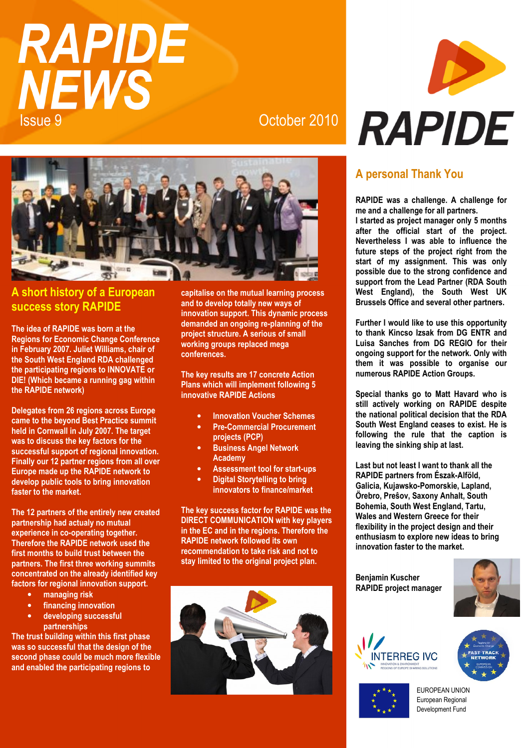# **RAPIDE NEWS** Issue 9 October 2010



#### **A short history of a European success story RAPIDE**

**The idea of RAPIDE was born at the Regions for Economic Change Conference in February 2007. Juliet Williams, chair of the South West England RDA challenged the participating regions to INNOVATE or DIE! (Which became a running gag within the RAPIDE network)** 

**Delegates from 26 regions across Europe came to the beyond Best Practice summit held in Cornwall in July 2007. The target was to discuss the key factors for the successful support of regional innovation. Finally our 12 partner regions from all over Europe made up the RAPIDE network to develop public tools to bring innovation faster to the market.** 

**The 12 partners of the entirely new created partnership had actualy no mutual experience in co-operating together. Therefore the RAPIDE network used the first months to build trust between the partners. The first three working summits concentrated on the already identified key factors for regional innovation support.** 

- **managing risk**
- **financing innovation**
- **developing successful**

**partnerships** 

**The trust building within this first phase was so successful that the design of the second phase could be much more flexible and enabled the participating regions to** 

**capitalise on the mutual learning process and to develop totally new ways of innovation support. This dynamic process demanded an ongoing re-planning of the project structure. A serious of small working groups replaced mega conferences.** 

**The key results are 17 concrete Action Plans which will implement following 5 innovative RAPIDE Actions** 

- **Innovation Voucher Schemes**
- **Pre-Commercial Procurement projects (PCP)**
- **Business Angel Network Academy**
- **Assessment tool for start-ups**
- **Digital Storytelling to bring innovators to finance/market**

**The key success factor for RAPIDE was the DIRECT COMMUNICATION with key players in the EC and in the regions. Therefore the RAPIDE network followed its own recommendation to take risk and not to stay limited to the original project plan.** 





## **A personal Thank You**

**RAPIDE was a challenge. A challenge for me and a challenge for all partners.** 

**I started as project manager only 5 months after the official start of the project. Nevertheless I was able to influence the future steps of the project right from the start of my assignment. This was only possible due to the strong confidence and support from the Lead Partner (RDA South West England), the South West UK Brussels Office and several other partners.**

**Further I would like to use this opportunity to thank Kincso Izsak from DG ENTR and Luisa Sanches from DG REGIO for their ongoing support for the network. Only with them it was possible to organise our numerous RAPIDE Action Groups.** 

**Special thanks go to Matt Havard who is still actively working on RAPIDE despite the national political decision that the RDA South West England ceases to exist. He is following the rule that the caption is leaving the sinking ship at last.** 

**Last but not least I want to thank all the RAPIDE partners from Észak-Alföld, Galicia, Kujawsko-Pomorskie, Lapland, Örebro, Preŝov, Saxony Anhalt, South Bohemia, South West England, Tartu, Wales and Western Greece for their flexibility in the project design and their enthusiasm to explore new ideas to bring innovation faster to the market.** 

**Benjamin Kuscher RAPIDE project manager**